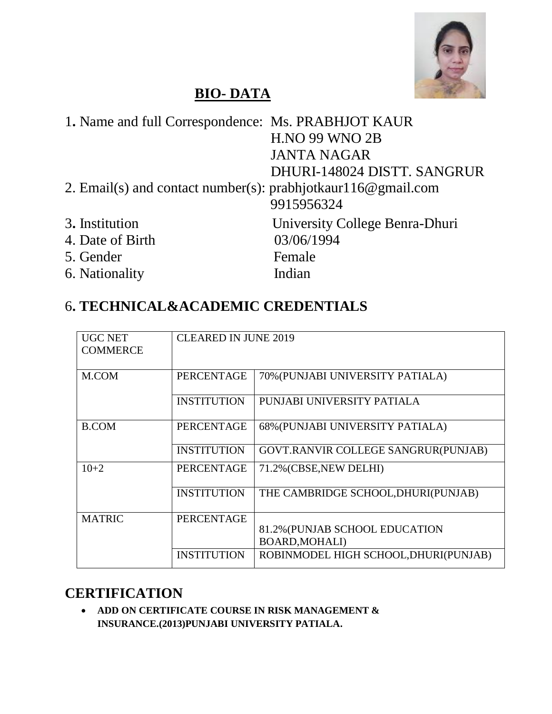

# **BIO- DATA**

| 1. Name and full Correspondence: Ms. PRABHJOT KAUR               |                                |
|------------------------------------------------------------------|--------------------------------|
|                                                                  | <b>H.NO 99 WNO 2B</b>          |
|                                                                  | <b>JANTA NAGAR</b>             |
|                                                                  | DHURI-148024 DISTT. SANGRUR    |
| 2. Email(s) and contact number(s): prabhjotkaurl $16@$ gmail.com |                                |
|                                                                  | 9915956324                     |
| 3. Institution                                                   | University College Benra-Dhuri |
| 4. Date of Birth                                                 | 03/06/1994                     |
| 5. Gender                                                        | Female                         |
| 6. Nationality                                                   | Indian                         |

# 6**. TECHNICAL&ACADEMIC CREDENTIALS**

| <b>UGC NET</b><br><b>COMMERCE</b> | <b>CLEARED IN JUNE 2019</b> |                                                         |
|-----------------------------------|-----------------------------|---------------------------------------------------------|
| M.COM                             | <b>PERCENTAGE</b>           | 70% (PUNJABI UNIVERSITY PATIALA)                        |
|                                   | <b>INSTITUTION</b>          | PUNJABI UNIVERSITY PATIALA                              |
| <b>B.COM</b>                      | <b>PERCENTAGE</b>           | 68% (PUNJABI UNIVERSITY PATIALA)                        |
|                                   | <b>INSTITUTION</b>          | GOVT.RANVIR COLLEGE SANGRUR(PUNJAB)                     |
| $10+2$                            | <b>PERCENTAGE</b>           | 71.2% (CBSE, NEW DELHI)                                 |
|                                   | <b>INSTITUTION</b>          | THE CAMBRIDGE SCHOOL, DHURI(PUNJAB)                     |
| <b>MATRIC</b>                     | <b>PERCENTAGE</b>           |                                                         |
|                                   |                             | 81.2% (PUNJAB SCHOOL EDUCATION<br><b>BOARD, MOHALI)</b> |
|                                   | <b>INSTITUTION</b>          | ROBINMODEL HIGH SCHOOL, DHURI(PUNJAB)                   |

## **CERTIFICATION**

 **ADD ON CERTIFICATE COURSE IN RISK MANAGEMENT & INSURANCE.(2013)PUNJABI UNIVERSITY PATIALA.**